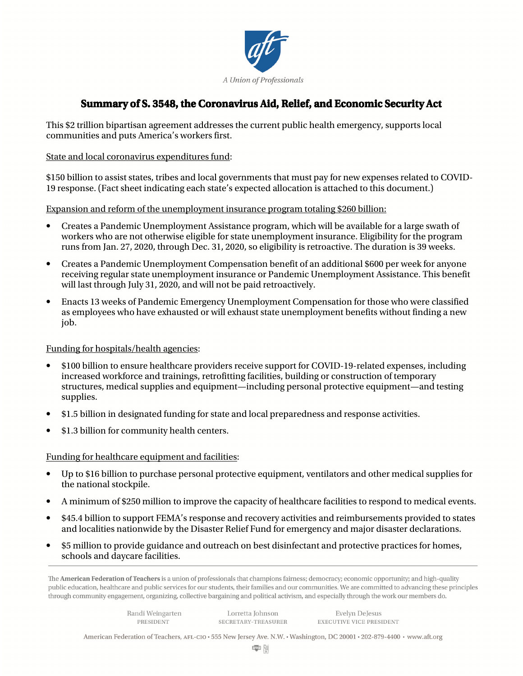

# **Summary of S. 3548, the Coronavirus Aid, Relief, and Economic Security Act**

This \$2 trillion bipartisan agreement addresses the current public health emergency, supports local communities and puts America's workers first.

# State and local coronavirus expenditures fund:

\$150 billion to assist states, tribes and local governments that must pay for new expenses related to COVID-19 response. (Fact sheet indicating each state's expected allocation is attached to this document.)

# Expansion and reform of the unemployment insurance program totaling \$260 billion:

- Creates a Pandemic Unemployment Assistance program, which will be available for a large swath of workers who are not otherwise eligible for state unemployment insurance. Eligibility for the program runs from Jan. 27, 2020, through Dec. 31, 2020, so eligibility is retroactive. The duration is 39 weeks.
- Creates a Pandemic Unemployment Compensation benefit of an additional \$600 per week for anyone receiving regular state unemployment insurance or Pandemic Unemployment Assistance. This benefit will last through July 31, 2020, and will not be paid retroactively.
- Enacts 13 weeks of Pandemic Emergency Unemployment Compensation for those who were classified as employees who have exhausted or will exhaust state unemployment benefits without finding a new job.

# Funding for hospitals/health agencies:

- \$100 billion to ensure healthcare providers receive support for COVID-19-related expenses, including increased workforce and trainings, retrofitting facilities, building or construction of temporary structures, medical supplies and equipment—including personal protective equipment—and testing supplies.
- \$1.5 billion in designated funding for state and local preparedness and response activities.
- \$1.3 billion for community health centers.

#### Funding for healthcare equipment and facilities:

- Up to \$16 billion to purchase personal protective equipment, ventilators and other medical supplies for the national stockpile.
- A minimum of \$250 million to improve the capacity of healthcare facilities to respond to medical events.
- \$45.4 billion to support FEMA's response and recovery activities and reimbursements provided to states and localities nationwide by the Disaster Relief Fund for emergency and major disaster declarations.
- \$5 million to provide guidance and outreach on best disinfectant and protective practices for homes, schools and daycare facilities.

The American Federation of Teachers is a union of professionals that champions fairness; democracy; economic opportunity; and high-quality public education, healthcare and public services for our students, their families and our communities. We are committed to advancing these principles through community engagement, organizing, collective bargaining and political activism, and especially through the work our members do.

> Randi Weingarten **PRESIDENT**

Lorretta Johnson SECRETARY-TREASURER

Evelyn DeJesus **EXECUTIVE VICE PRESIDENT** 

American Federation of Teachers, AFL-CIO · 555 New Jersey Ave. N.W. · Washington, DC 20001 · 202-879-4400 · www.aft.org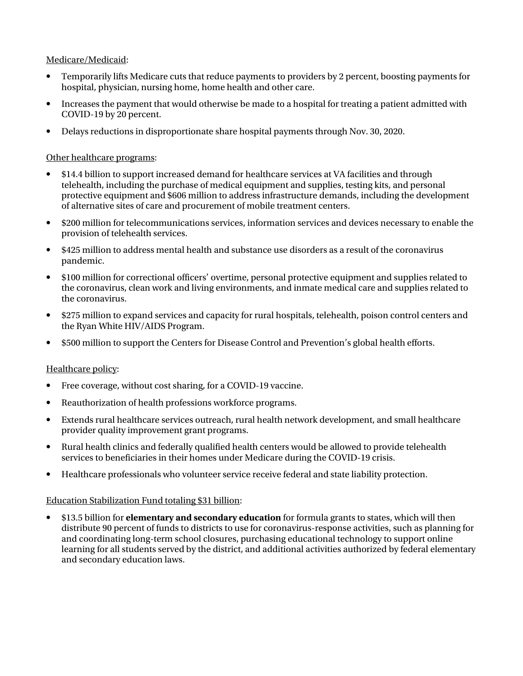# Medicare/Medicaid:

- Temporarily lifts Medicare cuts that reduce payments to providers by 2 percent, boosting payments for hospital, physician, nursing home, home health and other care.
- Increases the payment that would otherwise be made to a hospital for treating a patient admitted with COVID-19 by 20 percent.
- Delays reductions in disproportionate share hospital payments through Nov. 30, 2020.

# Other healthcare programs:

- \$14.4 billion to support increased demand for healthcare services at VA facilities and through telehealth, including the purchase of medical equipment and supplies, testing kits, and personal protective equipment and \$606 million to address infrastructure demands, including the development of alternative sites of care and procurement of mobile treatment centers.
- \$200 million for telecommunications services, information services and devices necessary to enable the provision of telehealth services.
- \$425 million to address mental health and substance use disorders as a result of the coronavirus pandemic.
- \$100 million for correctional officers' overtime, personal protective equipment and supplies related to the coronavirus, clean work and living environments, and inmate medical care and supplies related to the coronavirus.
- \$275 million to expand services and capacity for rural hospitals, telehealth, poison control centers and the Ryan White HIV/AIDS Program.
- \$500 million to support the Centers for Disease Control and Prevention's global health efforts.

# Healthcare policy:

- Free coverage, without cost sharing, for a COVID-19 vaccine.
- Reauthorization of health professions workforce programs.
- Extends rural healthcare services outreach, rural health network development, and small healthcare provider quality improvement grant programs.
- Rural health clinics and federally qualified health centers would be allowed to provide telehealth services to beneficiaries in their homes under Medicare during the COVID-19 crisis.
- Healthcare professionals who volunteer service receive federal and state liability protection.

#### Education Stabilization Fund totaling \$31 billion:

• \$13.5 billion for **elementary and secondary education** for formula grants to states, which will then distribute 90 percent of funds to districts to use for coronavirus-response activities, such as planning for and coordinating long-term school closures, purchasing educational technology to support online learning for all students served by the district, and additional activities authorized by federal elementary and secondary education laws.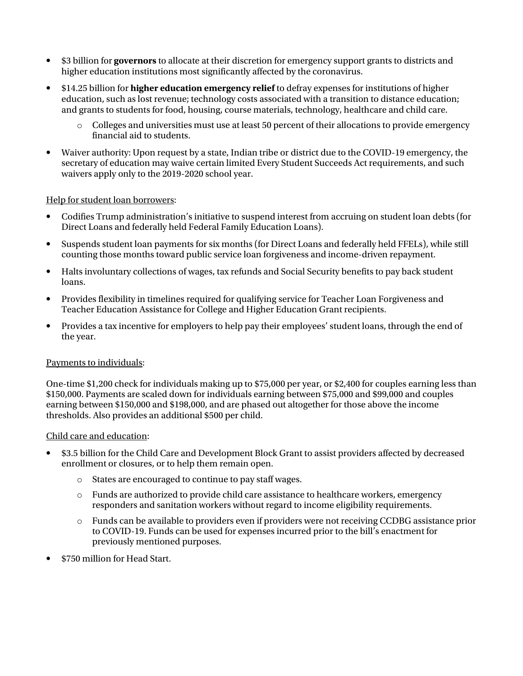- \$3 billion for **governors** to allocate at their discretion for emergency support grants to districts and higher education institutions most significantly affected by the coronavirus.
- \$14.25 billion for **higher education emergency relief** to defray expenses for institutions of higher education, such as lost revenue; technology costs associated with a transition to distance education; and grants to students for food, housing, course materials, technology, healthcare and child care.
	- o Colleges and universities must use at least 50 percent of their allocations to provide emergency financial aid to students.
- Waiver authority: Upon request by a state, Indian tribe or district due to the COVID-19 emergency, the secretary of education may waive certain limited Every Student Succeeds Act requirements, and such waivers apply only to the 2019-2020 school year.

# Help for student loan borrowers:

- Codifies Trump administration's initiative to suspend interest from accruing on student loan debts (for Direct Loans and federally held Federal Family Education Loans).
- Suspends student loan payments for six months (for Direct Loans and federally held FFELs), while still counting those months toward public service loan forgiveness and income-driven repayment.
- Halts involuntary collections of wages, tax refunds and Social Security benefits to pay back student loans.
- Provides flexibility in timelines required for qualifying service for Teacher Loan Forgiveness and Teacher Education Assistance for College and Higher Education Grant recipients.
- Provides a tax incentive for employers to help pay their employees' student loans, through the end of the year.

#### Payments to individuals:

One-time \$1,200 check for individuals making up to \$75,000 per year, or \$2,400 for couples earning less than \$150,000. Payments are scaled down for individuals earning between \$75,000 and \$99,000 and couples earning between \$150,000 and \$198,000, and are phased out altogether for those above the income thresholds. Also provides an additional \$500 per child.

#### Child care and education:

- \$3.5 billion for the Child Care and Development Block Grant to assist providers affected by decreased enrollment or closures, or to help them remain open.
	- o States are encouraged to continue to pay staff wages.
	- $\circ$  Funds are authorized to provide child care assistance to healthcare workers, emergency responders and sanitation workers without regard to income eligibility requirements.
	- o Funds can be available to providers even if providers were not receiving CCDBG assistance prior to COVID-19. Funds can be used for expenses incurred prior to the bill's enactment for previously mentioned purposes.
- \$750 million for Head Start.